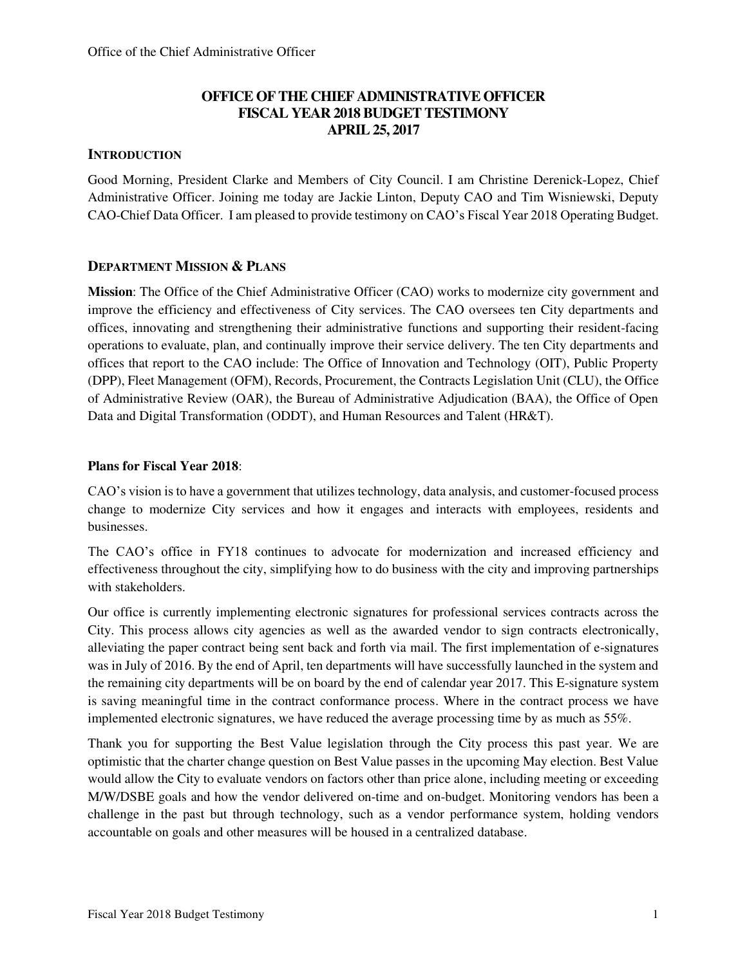### **OFFICE OF THE CHIEF ADMINISTRATIVE OFFICER FISCAL YEAR 2018 BUDGET TESTIMONY APRIL 25, 2017**

#### **INTRODUCTION**

Good Morning, President Clarke and Members of City Council. I am Christine Derenick-Lopez, Chief Administrative Officer. Joining me today are Jackie Linton, Deputy CAO and Tim Wisniewski, Deputy CAO-Chief Data Officer. I am pleased to provide testimony on CAO's Fiscal Year 2018 Operating Budget.

#### **DEPARTMENT MISSION & PLANS**

**Mission**: The Office of the Chief Administrative Officer (CAO) works to modernize city government and improve the efficiency and effectiveness of City services. The CAO oversees ten City departments and offices, innovating and strengthening their administrative functions and supporting their resident-facing operations to evaluate, plan, and continually improve their service delivery. The ten City departments and offices that report to the CAO include: The Office of Innovation and Technology (OIT), Public Property (DPP), Fleet Management (OFM), Records, Procurement, the Contracts Legislation Unit (CLU), the Office of Administrative Review (OAR), the Bureau of Administrative Adjudication (BAA), the Office of Open Data and Digital Transformation (ODDT), and Human Resources and Talent (HR&T).

#### **Plans for Fiscal Year 2018**:

CAO's vision is to have a government that utilizes technology, data analysis, and customer-focused process change to modernize City services and how it engages and interacts with employees, residents and businesses.

The CAO's office in FY18 continues to advocate for modernization and increased efficiency and effectiveness throughout the city, simplifying how to do business with the city and improving partnerships with stakeholders.

Our office is currently implementing electronic signatures for professional services contracts across the City. This process allows city agencies as well as the awarded vendor to sign contracts electronically, alleviating the paper contract being sent back and forth via mail. The first implementation of e-signatures was in July of 2016. By the end of April, ten departments will have successfully launched in the system and the remaining city departments will be on board by the end of calendar year 2017. This E-signature system is saving meaningful time in the contract conformance process. Where in the contract process we have implemented electronic signatures, we have reduced the average processing time by as much as 55%.

Thank you for supporting the Best Value legislation through the City process this past year. We are optimistic that the charter change question on Best Value passes in the upcoming May election. Best Value would allow the City to evaluate vendors on factors other than price alone, including meeting or exceeding M/W/DSBE goals and how the vendor delivered on-time and on-budget. Monitoring vendors has been a challenge in the past but through technology, such as a vendor performance system, holding vendors accountable on goals and other measures will be housed in a centralized database.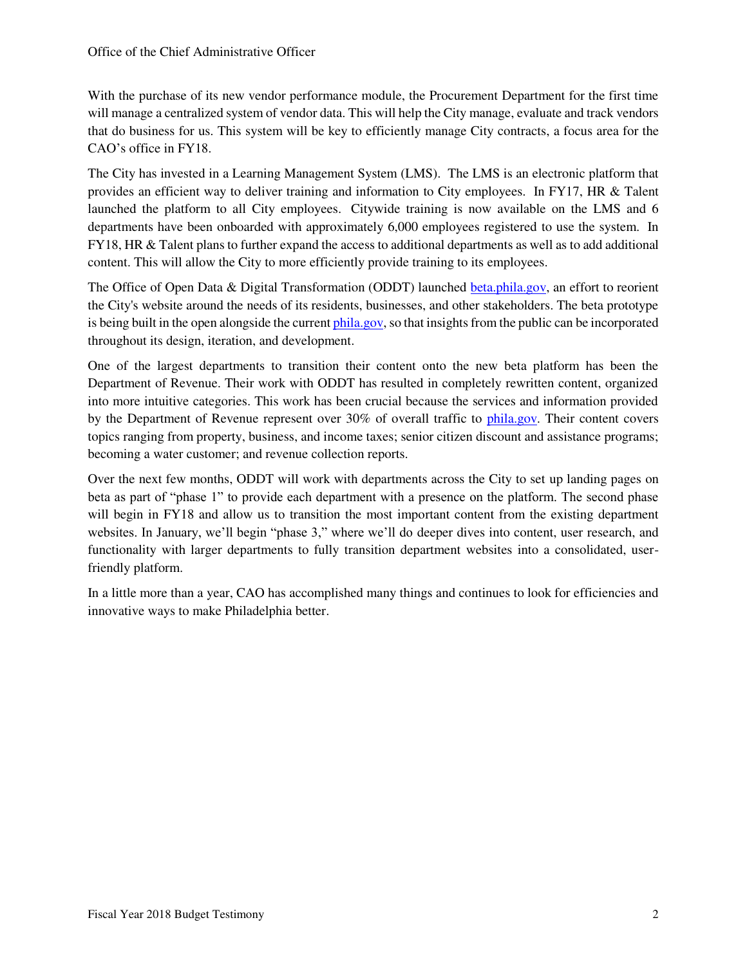With the purchase of its new vendor performance module, the Procurement Department for the first time will manage a centralized system of vendor data. This will help the City manage, evaluate and track vendors that do business for us. This system will be key to efficiently manage City contracts, a focus area for the CAO's office in FY18.

The City has invested in a Learning Management System (LMS). The LMS is an electronic platform that provides an efficient way to deliver training and information to City employees. In FY17, HR & Talent launched the platform to all City employees. Citywide training is now available on the LMS and 6 departments have been onboarded with approximately 6,000 employees registered to use the system. In FY18, HR & Talent plans to further expand the access to additional departments as well as to add additional content. This will allow the City to more efficiently provide training to its employees.

The Office of Open Data & Digital Transformation (ODDT) launched [beta.phila.gov,](http://beta.phila.gov/) an effort to reorient the City's website around the needs of its residents, businesses, and other stakeholders. The beta prototype is being built in the open alongside the curren[t phila.gov,](http://phila.gov/) so that insights from the public can be incorporated throughout its design, iteration, and development.

One of the largest departments to transition their content onto the new beta platform has been the Department of Revenue. Their work with ODDT has resulted in completely rewritten content, organized into more intuitive categories. This work has been crucial because the services and information provided by the Department of Revenue represent over 30% of overall traffic to [phila.gov.](http://phila.gov/) Their content covers topics ranging from property, business, and income taxes; senior citizen discount and assistance programs; becoming a water customer; and revenue collection reports.

Over the next few months, ODDT will work with departments across the City to set up landing pages on beta as part of "phase 1" to provide each department with a presence on the platform. The second phase will begin in FY18 and allow us to transition the most important content from the existing department websites. In January, we'll begin "phase 3," where we'll do deeper dives into content, user research, and functionality with larger departments to fully transition department websites into a consolidated, userfriendly platform.

In a little more than a year, CAO has accomplished many things and continues to look for efficiencies and innovative ways to make Philadelphia better.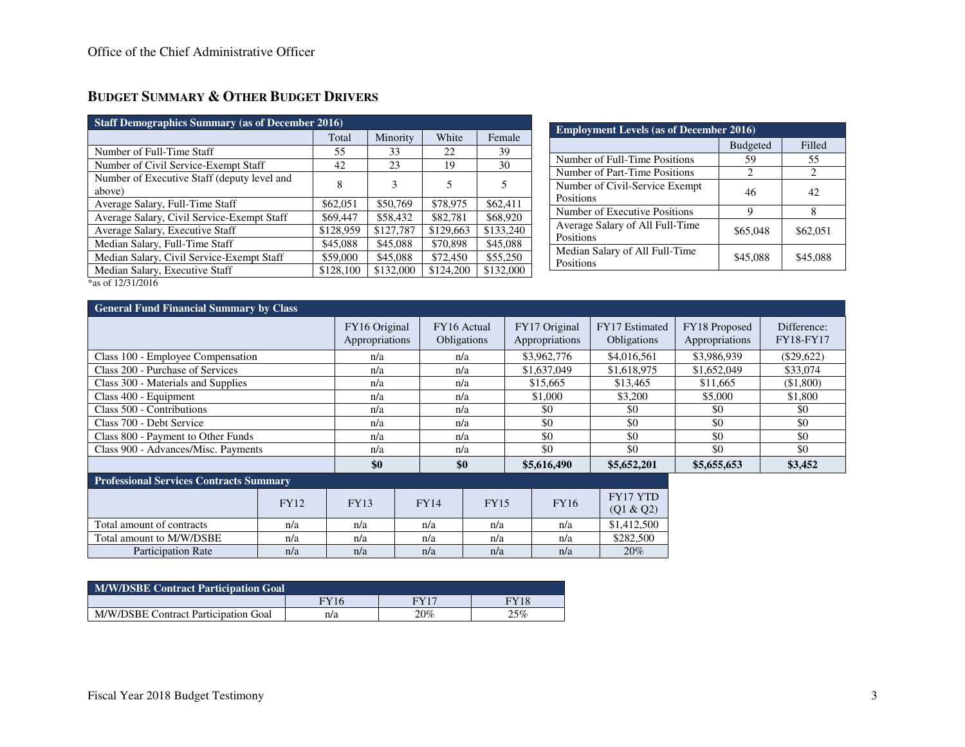# **BUDGET SUMMARY & OTHER BUDGET DRIVERS**

| <b>Staff Demographics Summary (as of December 2016)</b>   |           |           |           |           |  |  |  |
|-----------------------------------------------------------|-----------|-----------|-----------|-----------|--|--|--|
|                                                           | Total     | Minority  | White     | Female    |  |  |  |
| Number of Full-Time Staff                                 | 55        | 33        | 22        | 39        |  |  |  |
| Number of Civil Service-Exempt Staff                      | 42        | 23        | 19        | 30        |  |  |  |
| Number of Executive Staff (deputy level and<br>above)     | 8         | 3         | 5         | 5         |  |  |  |
| Average Salary, Full-Time Staff                           | \$62,051  | \$50,769  | \$78,975  | \$62,411  |  |  |  |
| Average Salary, Civil Service-Exempt Staff                | \$69,447  | \$58,432  | \$82,781  | \$68,920  |  |  |  |
| Average Salary, Executive Staff                           | \$128,959 | \$127,787 | \$129,663 | \$133,240 |  |  |  |
| Median Salary, Full-Time Staff                            | \$45,088  | \$45,088  | \$70,898  | \$45,088  |  |  |  |
| Median Salary, Civil Service-Exempt Staff                 | \$59,000  | \$45,088  | \$72,450  | \$55,250  |  |  |  |
| Median Salary, Executive Staff<br>$*_{0.0}$ of 12/21/2016 | \$128,100 | \$132,000 | \$124,200 | \$132,000 |  |  |  |

| <b>Employment Levels (as of December 2016)</b> |                 |                             |  |  |
|------------------------------------------------|-----------------|-----------------------------|--|--|
|                                                | <b>Budgeted</b> | Filled                      |  |  |
| Number of Full-Time Positions                  | 59              | 55                          |  |  |
| Number of Part-Time Positions                  | 2               | $\mathcal{D}_{\mathcal{L}}$ |  |  |
| Number of Civil-Service Exempt<br>Positions    | 46              | 42                          |  |  |
| Number of Executive Positions                  |                 | 8                           |  |  |
| Average Salary of All Full-Time<br>Positions   | \$65,048        | \$62,051                    |  |  |
| Median Salary of All Full-Time<br>Positions    | \$45,088        | \$45,088                    |  |  |

\*as of 12/31/2016

| <b>General Fund Financial Summary by Class</b>                                                                                                                                                                                                                                                                                     |                                 |                            |                                 |                                      |                                 |                          |
|------------------------------------------------------------------------------------------------------------------------------------------------------------------------------------------------------------------------------------------------------------------------------------------------------------------------------------|---------------------------------|----------------------------|---------------------------------|--------------------------------------|---------------------------------|--------------------------|
|                                                                                                                                                                                                                                                                                                                                    | FY16 Original<br>Appropriations | FY16 Actual<br>Obligations | FY17 Original<br>Appropriations | FY17 Estimated<br><b>Obligations</b> | FY18 Proposed<br>Appropriations | Difference:<br>FY18-FY17 |
| Class 100 - Employee Compensation                                                                                                                                                                                                                                                                                                  | n/a                             | n/a                        | \$3,962,776                     | \$4,016,561                          | \$3,986,939                     | $(\$29,622)$             |
| Class 200 - Purchase of Services                                                                                                                                                                                                                                                                                                   | n/a                             | n/a                        | \$1,637,049                     | \$1,618,975                          | \$1,652,049                     | \$33,074                 |
| Class 300 - Materials and Supplies                                                                                                                                                                                                                                                                                                 | n/a                             | n/a                        | \$15,665                        | \$13,465                             | \$11,665                        | (\$1,800)                |
| Class 400 - Equipment                                                                                                                                                                                                                                                                                                              | n/a                             | n/a                        | \$1,000                         | \$3,200                              | \$5,000                         | \$1,800                  |
| Class 500 - Contributions                                                                                                                                                                                                                                                                                                          | n/a                             | n/a                        | \$0                             | \$0                                  | \$0                             | \$0                      |
| Class 700 - Debt Service                                                                                                                                                                                                                                                                                                           | n/a                             | n/a                        | \$0                             | \$0                                  | \$0                             | \$0                      |
| Class 800 - Payment to Other Funds                                                                                                                                                                                                                                                                                                 | n/a                             | n/a                        | \$0                             | \$0                                  | \$0                             | \$0                      |
| Class 900 - Advances/Misc. Payments                                                                                                                                                                                                                                                                                                | n/a                             | n/a                        | \$0                             | \$0                                  | \$0                             | \$0                      |
|                                                                                                                                                                                                                                                                                                                                    | \$0                             | \$0                        | \$5,616,490                     | \$5,652,201                          | \$5,655,653                     | \$3,452                  |
| $\mathbf{R}$ $\mathbf{R}$ $\mathbf{R}$ $\mathbf{R}$ $\mathbf{R}$ $\mathbf{R}$ $\mathbf{R}$ $\mathbf{R}$ $\mathbf{R}$ $\mathbf{R}$ $\mathbf{R}$ $\mathbf{R}$ $\mathbf{R}$ $\mathbf{R}$ $\mathbf{R}$ $\mathbf{R}$ $\mathbf{R}$ $\mathbf{R}$ $\mathbf{R}$ $\mathbf{R}$ $\mathbf{R}$ $\mathbf{R}$ $\mathbf{R}$ $\mathbf{R}$ $\mathbf{$ |                                 |                            |                                 |                                      |                                 |                          |

| <b>Professional Services Contracts Summary</b> |             |             |             |             |             |                       |  |  |
|------------------------------------------------|-------------|-------------|-------------|-------------|-------------|-----------------------|--|--|
|                                                | <b>FY12</b> | <b>FY13</b> | <b>FY14</b> | <b>FY15</b> | <b>FY16</b> | FY17 YTD<br>(Q1 & Q2) |  |  |
| Total amount of contracts                      | n/a         | n/a         | n/a         | n/a         | n/a         | \$1,412,500           |  |  |
| Total amount to M/W/DSBE                       | n/a         | n/a         | n/a         | n/a         | n/a         | \$282,500             |  |  |
| <b>Participation Rate</b>                      | n/a         | n/a         | n/a         | n/a         | n/a         | 20%                   |  |  |

| <b>M/W/DSBE Contract Participation Goal</b> |             |      |             |  |  |
|---------------------------------------------|-------------|------|-------------|--|--|
|                                             | <b>FY16</b> | EVI7 | <b>FY18</b> |  |  |
| M/W/DSBE Contract Participation Goal        | n/a         | 20%  | 25%         |  |  |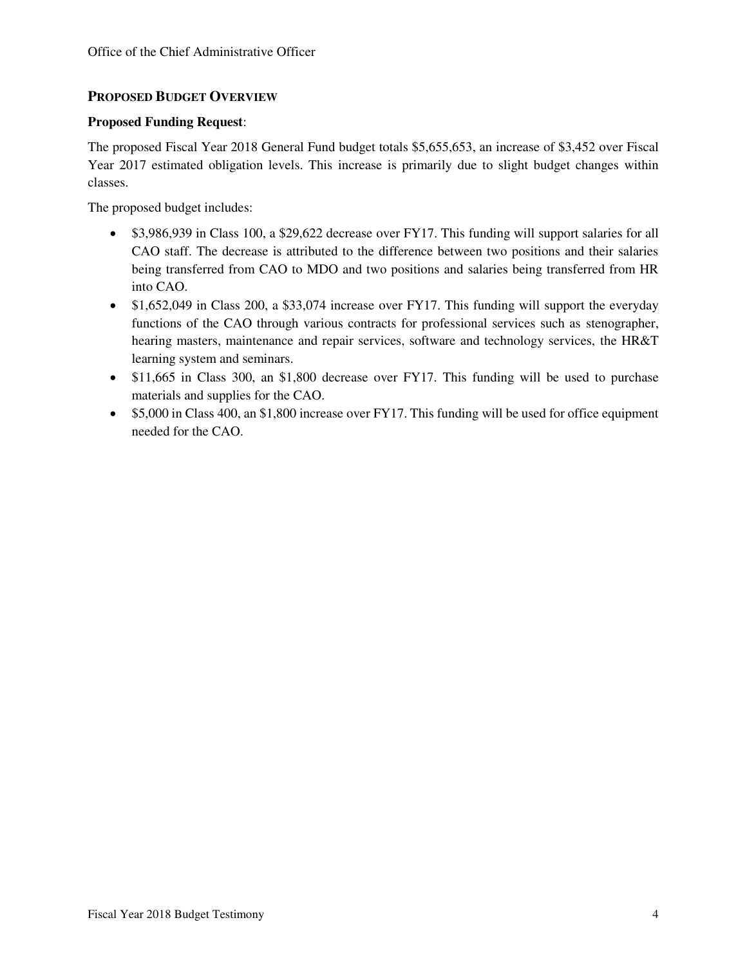#### **PROPOSED BUDGET OVERVIEW**

#### **Proposed Funding Request**:

The proposed Fiscal Year 2018 General Fund budget totals \$5,655,653, an increase of \$3,452 over Fiscal Year 2017 estimated obligation levels. This increase is primarily due to slight budget changes within classes.

The proposed budget includes:

- \$3,986,939 in Class 100, a \$29,622 decrease over FY17. This funding will support salaries for all CAO staff. The decrease is attributed to the difference between two positions and their salaries being transferred from CAO to MDO and two positions and salaries being transferred from HR into CAO.
- \$1,652,049 in Class 200, a \$33,074 increase over FY17. This funding will support the everyday functions of the CAO through various contracts for professional services such as stenographer, hearing masters, maintenance and repair services, software and technology services, the HR&T learning system and seminars.
- \$11,665 in Class 300, an \$1,800 decrease over FY17. This funding will be used to purchase materials and supplies for the CAO.
- \$5,000 in Class 400, an \$1,800 increase over FY17. This funding will be used for office equipment needed for the CAO.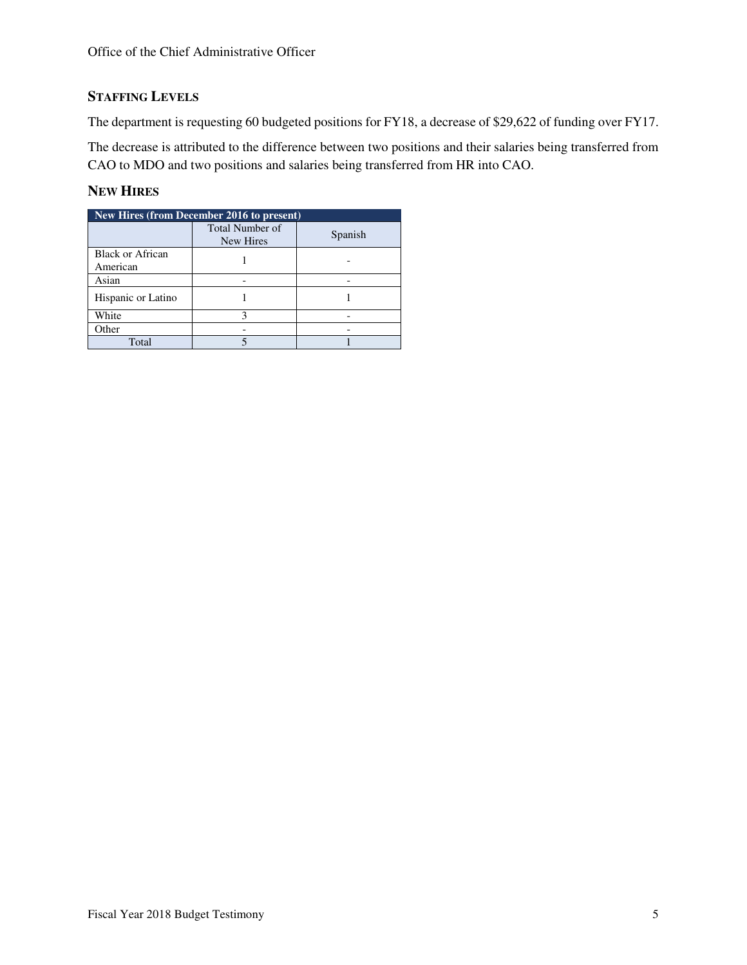### **STAFFING LEVELS**

The department is requesting 60 budgeted positions for FY18, a decrease of \$29,622 of funding over FY17.

The decrease is attributed to the difference between two positions and their salaries being transferred from CAO to MDO and two positions and salaries being transferred from HR into CAO.

### **NEW HIRES**

| New Hires (from December 2016 to present) |                              |         |  |  |  |
|-------------------------------------------|------------------------------|---------|--|--|--|
|                                           | Total Number of<br>New Hires | Spanish |  |  |  |
| Black or African<br>American              |                              |         |  |  |  |
| Asian                                     |                              |         |  |  |  |
| Hispanic or Latino                        |                              |         |  |  |  |
| White                                     |                              |         |  |  |  |
| Other                                     |                              |         |  |  |  |
| Total                                     |                              |         |  |  |  |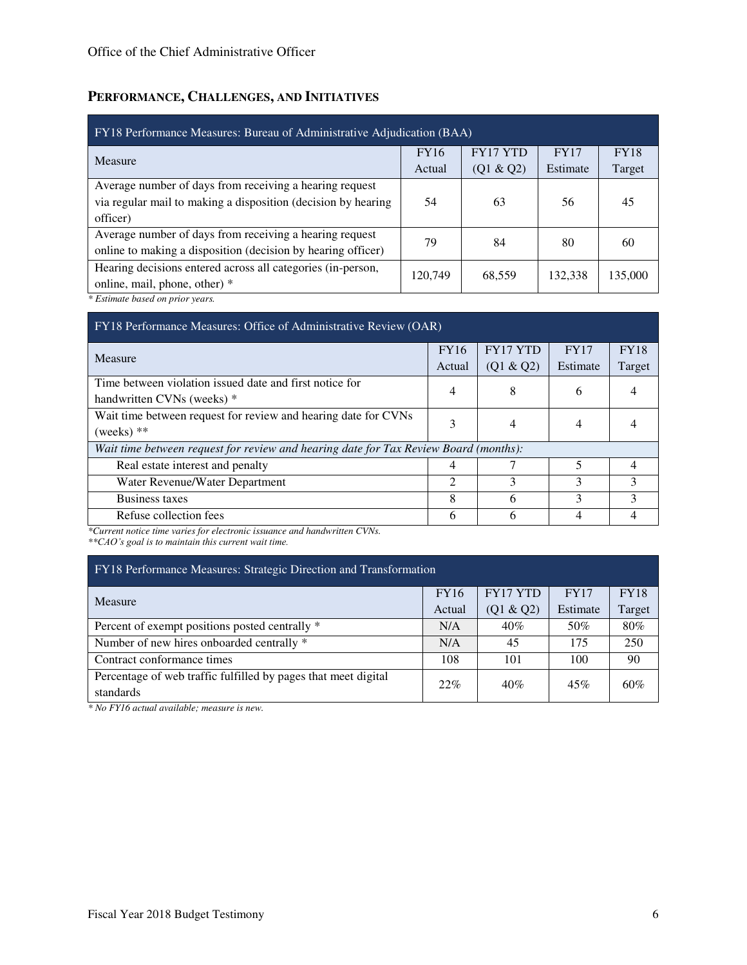# **PERFORMANCE, CHALLENGES, AND INITIATIVES**

| FY18 Performance Measures: Bureau of Administrative Adjudication (BAA) |             |                 |             |             |  |  |
|------------------------------------------------------------------------|-------------|-----------------|-------------|-------------|--|--|
| Measure                                                                | <b>FY16</b> | <b>FY17 YTD</b> | <b>FY17</b> | <b>FY18</b> |  |  |
|                                                                        | Actual      | (Q1 & Q2)       | Estimate    | Target      |  |  |
| Average number of days from receiving a hearing request                |             |                 |             |             |  |  |
| via regular mail to making a disposition (decision by hearing          | 54          | 63              | 56          | 45          |  |  |
| officer)                                                               |             |                 |             |             |  |  |
| Average number of days from receiving a hearing request                | 79          | 84              | 80          | 60          |  |  |
| online to making a disposition (decision by hearing officer)           |             |                 |             |             |  |  |
| Hearing decisions entered across all categories (in-person,            | 120,749     | 68,559          | 132,338     | 135,000     |  |  |
| online, mail, phone, other) *                                          |             |                 |             |             |  |  |
| $*F$ attack to be and an indicate and                                  |             |                 |             |             |  |  |

*\* Estimate based on prior years.* 

| FY18 Performance Measures: Office of Administrative Review (OAR)                      |             |                 |             |             |  |  |
|---------------------------------------------------------------------------------------|-------------|-----------------|-------------|-------------|--|--|
| Measure                                                                               | <b>FY16</b> | <b>FY17 YTD</b> | <b>FY17</b> | <b>FY18</b> |  |  |
|                                                                                       | Actual      | (Q1 & Q2)       | Estimate    | Target      |  |  |
| Time between violation issued date and first notice for<br>handwritten CVNs (weeks) * |             | 8               | 6           |             |  |  |
| Wait time between request for review and hearing date for CVNs<br>(weeks) $**$        |             |                 | 4           |             |  |  |
| Wait time between request for review and hearing date for Tax Review Board (months):  |             |                 |             |             |  |  |
| Real estate interest and penalty                                                      |             |                 |             |             |  |  |
| Water Revenue/Water Department                                                        | っ           | 3               | 3           | 3           |  |  |
| Business taxes                                                                        | 8           | 6               | 3           | 3           |  |  |
| Refuse collection fees                                                                | 6           | h               |             |             |  |  |

*\*Current notice time varies for electronic issuance and handwritten CVNs.* 

*\*\*CAO's goal is to maintain this current wait time.*

| FY18 Performance Measures: Strategic Direction and Transformation |        |                 |          |             |  |  |  |
|-------------------------------------------------------------------|--------|-----------------|----------|-------------|--|--|--|
| <b>Measure</b>                                                    |        | <b>FY17 YTD</b> | FY17     | <b>FY18</b> |  |  |  |
|                                                                   | Actual | (Q1 & Q2)       | Estimate | Target      |  |  |  |
| Percent of exempt positions posted centrally *                    | N/A    | 40%             | 50%      | 80%         |  |  |  |
| Number of new hires onboarded centrally *                         | N/A    | 45              | 175      | 250         |  |  |  |
| Contract conformance times                                        | 108    | 101             | 100      | 90          |  |  |  |
| Percentage of web traffic fulfilled by pages that meet digital    | 22%    | 40%             | 45%      | 60%         |  |  |  |
| standards                                                         |        |                 |          |             |  |  |  |

*\* No FY16 actual available; measure is new.*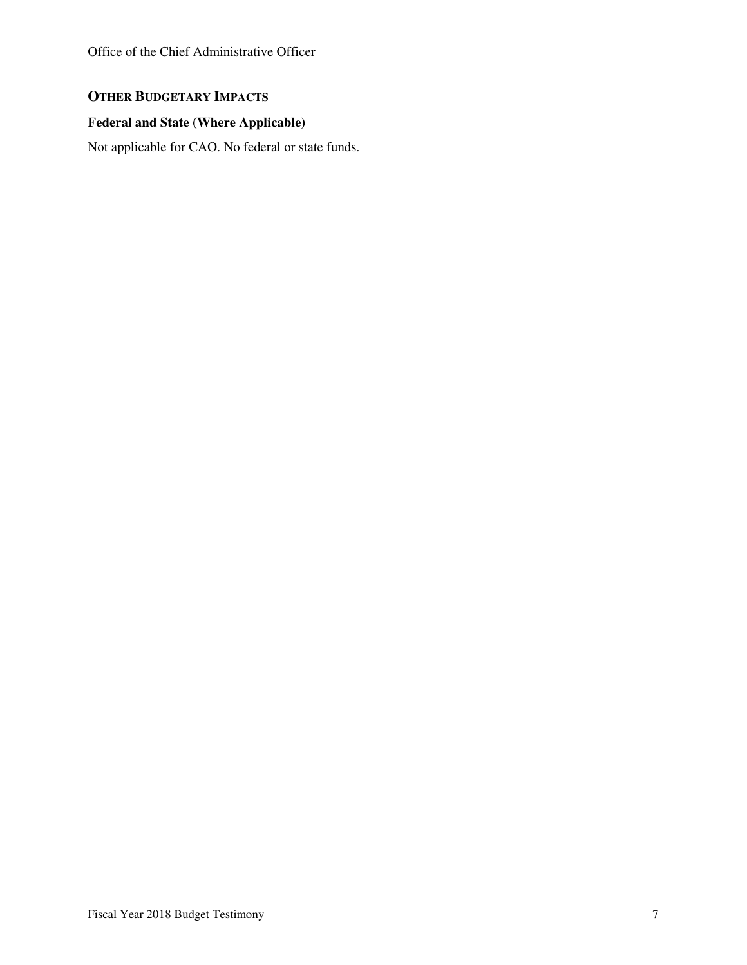### **OTHER BUDGETARY IMPACTS**

### **Federal and State (Where Applicable)**

Not applicable for CAO. No federal or state funds.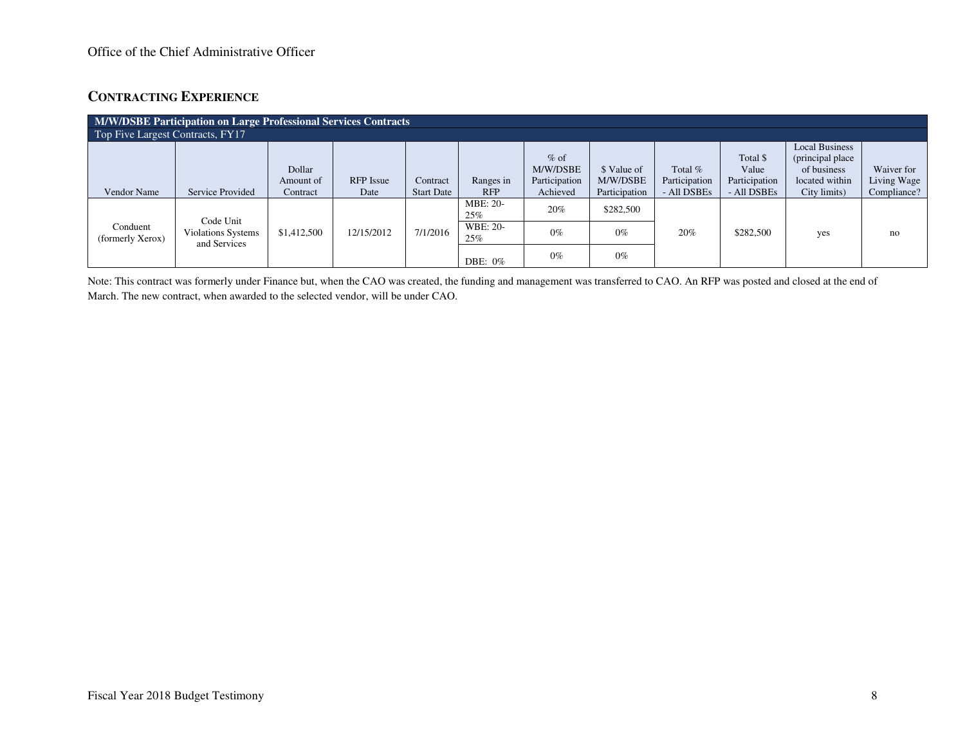### **CONTRACTING EXPERIENCE**

| M/W/DSBE Participation on Large Professional Services Contracts |                                           |                                 |                          |                               |                         |                                                 |                                          |                                         |                                                   |                                                                                            |                                          |
|-----------------------------------------------------------------|-------------------------------------------|---------------------------------|--------------------------|-------------------------------|-------------------------|-------------------------------------------------|------------------------------------------|-----------------------------------------|---------------------------------------------------|--------------------------------------------------------------------------------------------|------------------------------------------|
| Top Five Largest Contracts, FY17                                |                                           |                                 |                          |                               |                         |                                                 |                                          |                                         |                                                   |                                                                                            |                                          |
| Vendor Name                                                     | Service Provided                          | Dollar<br>Amount of<br>Contract | <b>RFP</b> Issue<br>Date | Contract<br><b>Start Date</b> | Ranges in<br><b>RFP</b> | $%$ of<br>M/W/DSBE<br>Participation<br>Achieved | \$ Value of<br>M/W/DSBE<br>Participation | Total %<br>Participation<br>- All DSBEs | Total \$<br>Value<br>Participation<br>- All DSBEs | <b>Local Business</b><br>(principal place<br>of business<br>located within<br>City limits) | Waiver for<br>Living Wage<br>Compliance? |
|                                                                 | Code Unit                                 |                                 |                          |                               | <b>MBE: 20-</b><br>25%  | 20%                                             | \$282,500                                |                                         |                                                   |                                                                                            |                                          |
| Conduent<br>(formerly Xerox)                                    | <b>Violations Systems</b><br>and Services | \$1,412,500                     | 12/15/2012               | 7/1/2016                      | WBE: 20-<br>25%         | $0\%$                                           | $0\%$                                    | 20%                                     | \$282,500                                         | yes                                                                                        | no                                       |
|                                                                 |                                           |                                 |                          |                               | DBE: $0\%$              | $0\%$                                           | $0\%$                                    |                                         |                                                   |                                                                                            |                                          |

Note: This contract was formerly under Finance but, when the CAO was created, the funding and management was transferred to CAO. An RFP was posted and closed at the end of March. The new contract, when awarded to the selected vendor, will be under CAO.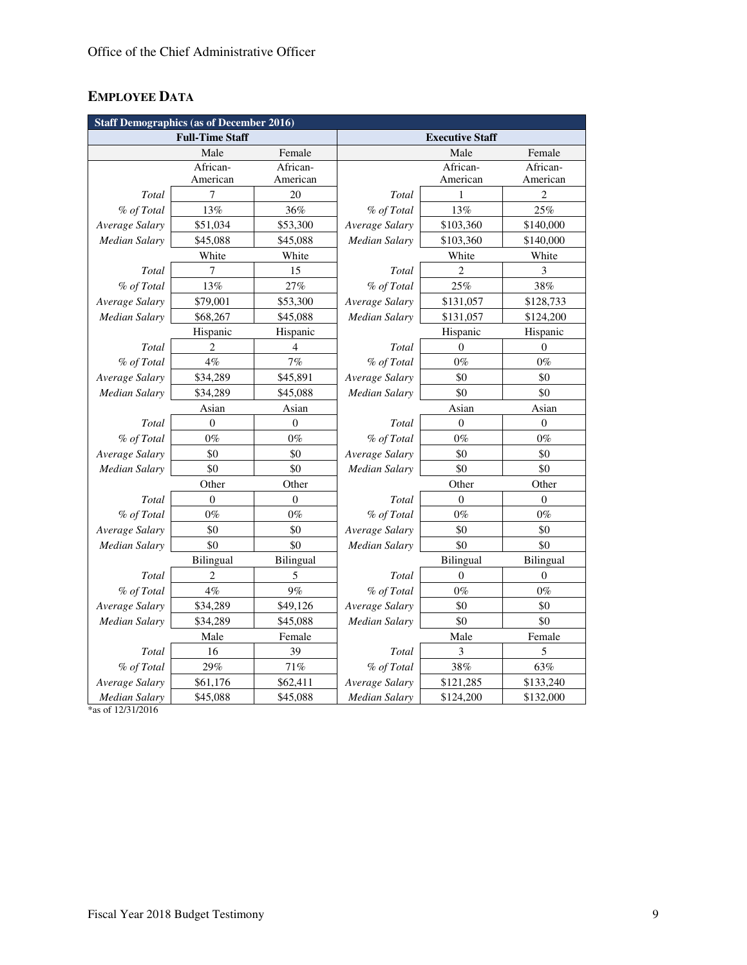# **EMPLOYEE DATA**

| <b>Staff Demographics (as of December 2016)</b> |                        |                  |                      |                        |                  |  |
|-------------------------------------------------|------------------------|------------------|----------------------|------------------------|------------------|--|
|                                                 | <b>Full-Time Staff</b> |                  |                      | <b>Executive Staff</b> |                  |  |
|                                                 | Male                   | Female           |                      | Male                   | Female           |  |
|                                                 | African-               | African-         |                      | African-               | African-         |  |
|                                                 | American               | American         |                      | American               | American         |  |
| Total                                           | 7                      | 20               | Total                | 1                      | $\overline{c}$   |  |
| % of Total                                      | 13%                    | 36%              | % of Total           | 13%                    | 25%              |  |
| Average Salary                                  | \$51,034               | \$53,300         | Average Salary       | \$103,360              | \$140,000        |  |
| <b>Median Salary</b>                            | \$45,088               | \$45,088         | Median Salary        | \$103,360              | \$140,000        |  |
|                                                 | White                  | White            |                      | White                  | White            |  |
| Total                                           | 7                      | 15               | Total                | $\overline{2}$         | 3                |  |
| % of Total                                      | 13%                    | 27%              | % of Total           | 25%                    | 38%              |  |
| Average Salary                                  | \$79,001               | \$53,300         | Average Salary       | \$131,057              | \$128,733        |  |
| <b>Median Salary</b>                            | \$68,267               | \$45,088         | Median Salary        | \$131,057              | \$124,200        |  |
|                                                 | Hispanic               | Hispanic         |                      | Hispanic               | Hispanic         |  |
| Total                                           | 2                      | $\overline{4}$   | Total                | $\theta$               | $\theta$         |  |
| % of Total                                      | $4\%$                  | $7\%$            | % of Total           | $0\%$                  | $0\%$            |  |
| Average Salary                                  | \$34,289               | \$45,891         | Average Salary       | \$0                    | \$0              |  |
| Median Salary                                   | \$34,289               | \$45,088         | Median Salary        | \$0                    | \$0              |  |
|                                                 | Asian                  | Asian            |                      | Asian                  | Asian            |  |
| Total                                           | $\boldsymbol{0}$       | $\boldsymbol{0}$ | Total                | $\boldsymbol{0}$       | $\boldsymbol{0}$ |  |
| % of Total                                      | $0\%$                  | $0\%$            | % of Total           | $0\%$                  | $0\%$            |  |
| Average Salary                                  | \$0                    | \$0              | Average Salary       | \$0                    | \$0              |  |
| Median Salary                                   | \$0                    | \$0              | Median Salary        | \$0                    | \$0              |  |
|                                                 | Other                  | Other            |                      | Other                  | Other            |  |
| Total                                           | $\overline{0}$         | $\theta$         | Total                | $\theta$               | $\mathbf{0}$     |  |
| % of Total                                      | $0\%$                  | $0\%$            | % of Total           | $0\%$                  | $0\%$            |  |
| Average Salary                                  | \$0                    | \$0              | Average Salary       | \$0                    | \$0              |  |
| <b>Median Salary</b>                            | \$0                    | \$0              | <b>Median Salary</b> | \$0                    | \$0              |  |
|                                                 | <b>Bilingual</b>       | <b>Bilingual</b> |                      | <b>Bilingual</b>       | <b>Bilingual</b> |  |
| Total                                           | 2                      | 5                | Total                | $\overline{0}$         | $\theta$         |  |
| % of Total                                      | 4%                     | 9%               | % of Total           | $0\%$                  | $0\%$            |  |
| Average Salary                                  | \$34,289               | \$49,126         | Average Salary       | \$0                    | \$0              |  |
| Median Salary                                   | \$34,289               | \$45,088         | Median Salary        | \$0                    | \$0              |  |
|                                                 | Male                   | Female           |                      | Male                   | Female           |  |
| Total                                           | 16                     | 39               | Total                | 3                      | 5                |  |
| % of Total                                      | 29%                    | 71%              | % of Total           | 38%                    | 63%              |  |
| Average Salary                                  | \$61,176               | \$62,411         | Average Salary       | \$121,285              | \$133,240        |  |
| <b>Median Salary</b>                            | \$45,088               | \$45,088         | Median Salary        | \$124,200              | \$132,000        |  |

\*as of 12/31/2016